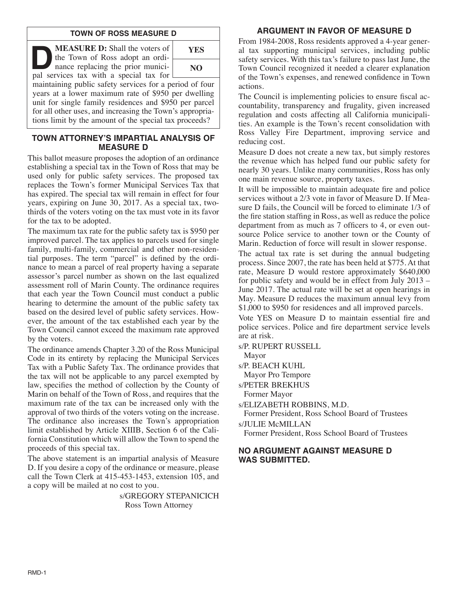# **TOWN OF ROSS MEASURE D**

**DEASURE D:** Shall the voters of<br>the Town of Ross adopt an ordinance replacing the prior munici-<br>pal services tax with a special tax for the Town of Ross adopt an ordinance replacing the prior municipal services tax with a special tax for



maintaining public safety services for a period of four years at a lower maximum rate of \$950 per dwelling unit for single family residences and \$950 per parcel for all other uses, and increasing the Town's appropriations limit by the amount of the special tax proceeds?

# **TOWN ATTORNEY'S IMPARTIAL ANALYSIS OF MEASURE D**

This ballot measure proposes the adoption of an ordinance establishing a special tax in the Town of Ross that may be used only for public safety services. The proposed tax replaces the Town's former Municipal Services Tax that has expired. The special tax will remain in effect for four years, expiring on June 30, 2017. As a special tax, twothirds of the voters voting on the tax must vote in its favor for the tax to be adopted.

The maximum tax rate for the public safety tax is \$950 per improved parcel. The tax applies to parcels used for single family, multi-family, commercial and other non-residential purposes. The term "parcel" is defined by the ordinance to mean a parcel of real property having a separate assessor's parcel number as shown on the last equalized assessment roll of Marin County. The ordinance requires that each year the Town Council must conduct a public hearing to determine the amount of the public safety tax based on the desired level of public safety services. However, the amount of the tax established each year by the Town Council cannot exceed the maximum rate approved by the voters.

The ordinance amends Chapter 3.20 of the Ross Municipal Code in its entirety by replacing the Municipal Services Tax with a Public Safety Tax. The ordinance provides that the tax will not be applicable to any parcel exempted by law, specifies the method of collection by the County of Marin on behalf of the Town of Ross, and requires that the maximum rate of the tax can be increased only with the approval of two thirds of the voters voting on the increase. The ordinance also increases the Town's appropriation limit established by Article XIIIB, Section 6 of the California Constitution which will allow the Town to spend the proceeds of this special tax.

The above statement is an impartial analysis of Measure D. If you desire a copy of the ordinance or measure, please call the Town Clerk at 415-453-1453, extension 105, and a copy will be mailed at no cost to you.

> s/GREGORY STEPANICICH Ross Town Attorney

# **ARGUMENT IN FAVOR OF MEASURE D**

From 1984-2008, Ross residents approved a 4-year general tax supporting municipal services, including public safety services. With this tax's failure to pass last June, the Town Council recognized it needed a clearer explanation of the Town's expenses, and renewed confidence in Town actions.

The Council is implementing policies to ensure fiscal accountability, transparency and frugality, given increased regulation and costs affecting all California municipalities. An example is the Town's recent consolidation with Ross Valley Fire Department, improving service and reducing cost.

Measure D does not create a new tax, but simply restores the revenue which has helped fund our public safety for nearly 30 years. Unlike many communities, Ross has only one main revenue source, property taxes.

It will be impossible to maintain adequate fire and police services without a 2/3 vote in favor of Measure D. If Measure D fails, the Council will be forced to eliminate 1/3 of the fire station staffing in Ross, as well as reduce the police department from as much as 7 officers to 4, or even outsource Police service to another town or the County of Marin. Reduction of force will result in slower response.

The actual tax rate is set during the annual budgeting process. Since 2007, the rate has been held at \$775. At that rate, Measure D would restore approximately \$640,000 for public safety and would be in effect from July 2013 – June 2017. The actual rate will be set at open hearings in May. Measure D reduces the maximum annual levy from \$1,000 to \$950 for residences and all improved parcels.

Vote YES on Measure D to maintain essential fire and police services. Police and fire department service levels are at risk.

s/P. RUPERT RUSSELL

Mayor

s/P. BEACH KUHL

Mayor Pro Tempore

s/PETER BREKHUS

Former Mayor

s/ELIZABETH ROBBINS, M.D.

Former President, Ross School Board of Trustees s/JULIE McMILLAN

Former President, Ross School Board of Trustees

# **NO ARGUMENT AGAINST MEASURE D WAS SUBMITTED.**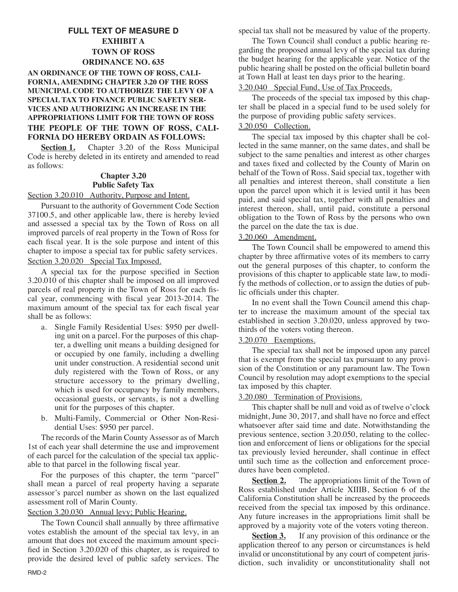# **FULL TEXT OF MEASURE D EXHIBIT A TOWN OF ROSS ORDINANCE NO. 635**

### **AN ORDINANCE OF THE TOWN OF ROSS, CALI-FORNIA, AMENDING CHAPTER 3.20 OF THE ROSS MUNICIPAL CODE TO AUTHORIZE THE LEVY OF A SPECIAL TAX TO FINANCE PUBLIC SAFETY SER-VICES AND AUTHORIZING AN INCREASE IN THE APPROPRIATIONS LIMIT FOR THE TOWN OF ROSS THE PEOPLE OF THE TOWN OF ROSS, CALI-FORNIA DO HEREBY ORDAIN AS FOLLOWS:**

**Section 1.** Chapter 3.20 of the Ross Municipal Code is hereby deleted in its entirety and amended to read as follows:

# **Chapter 3.20 Public Safety Tax**

## Section 3.20.010 Authority, Purpose and Intent.

Pursuant to the authority of Government Code Section 37100.5, and other applicable law, there is hereby levied and assessed a special tax by the Town of Ross on all improved parcels of real property in the Town of Ross for each fiscal year. It is the sole purpose and intent of this chapter to impose a special tax for public safety services. Section 3.20.020 Special Tax Imposed.

A special tax for the purpose specified in Section 3.20.010 of this chapter shall be imposed on all improved parcels of real property in the Town of Ross for each fiscal year, commencing with fiscal year 2013-2014. The maximum amount of the special tax for each fiscal year shall be as follows:

- a. Single Family Residential Uses: \$950 per dwelling unit on a parcel. For the purposes of this chapter, a dwelling unit means a building designed for or occupied by one family, including a dwelling unit under construction. A residential second unit duly registered with the Town of Ross, or any structure accessory to the primary dwelling, which is used for occupancy by family members, occasional guests, or servants, is not a dwelling unit for the purposes of this chapter.
- b. Multi-Family, Commercial or Other Non-Residential Uses: \$950 per parcel.

The records of the Marin County Assessor as of March 1st of each year shall determine the use and improvement of each parcel for the calculation of the special tax applicable to that parcel in the following fiscal year.

For the purposes of this chapter, the term "parcel" shall mean a parcel of real property having a separate assessor's parcel number as shown on the last equalized assessment roll of Marin County.

#### Section 3.20.030 Annual levy; Public Hearing.

The Town Council shall annually by three affirmative votes establish the amount of the special tax levy, in an amount that does not exceed the maximum amount specified in Section 3.20.020 of this chapter, as is required to provide the desired level of public safety services. The special tax shall not be measured by value of the property.

The Town Council shall conduct a public hearing regarding the proposed annual levy of the special tax during the budget hearing for the applicable year. Notice of the public hearing shall be posted on the official bulletin board at Town Hall at least ten days prior to the hearing.

#### 3.20.040 Special Fund, Use of Tax Proceeds.

The proceeds of the special tax imposed by this chapter shall be placed in a special fund to be used solely for the purpose of providing public safety services.

## 3.20.050 Collection.

The special tax imposed by this chapter shall be collected in the same manner, on the same dates, and shall be subject to the same penalties and interest as other charges and taxes fixed and collected by the County of Marin on behalf of the Town of Ross. Said special tax, together with all penalties and interest thereon, shall constitute a lien upon the parcel upon which it is levied until it has been paid, and said special tax, together with all penalties and interest thereon, shall, until paid, constitute a personal obligation to the Town of Ross by the persons who own the parcel on the date the tax is due.

### 3.20.060 Amendment.

The Town Council shall be empowered to amend this chapter by three affirmative votes of its members to carry out the general purposes of this chapter, to conform the provisions of this chapter to applicable state law, to modify the methods of collection, or to assign the duties of public officials under this chapter.

In no event shall the Town Council amend this chapter to increase the maximum amount of the special tax established in section 3.20.020, unless approved by twothirds of the voters voting thereon.

#### 3.20.070 Exemptions.

The special tax shall not be imposed upon any parcel that is exempt from the special tax pursuant to any provision of the Constitution or any paramount law. The Town Council by resolution may adopt exemptions to the special tax imposed by this chapter.

# 3.20.080 Termination of Provisions.

This chapter shall be null and void as of twelve o'clock midnight, June 30, 2017, and shall have no force and effect whatsoever after said time and date. Notwithstanding the previous sentence, section 3.20.050, relating to the collection and enforcement of liens or obligations for the special tax previously levied hereunder, shall continue in effect until such time as the collection and enforcement procedures have been completed.

**<u>Section 2.</u>** The appropriations limit of the Town of Ross established under Article XIIIB, Section 6 of the California Constitution shall be increased by the proceeds received from the special tax imposed by this ordinance. Any future increases in the appropriations limit shall be approved by a majority vote of the voters voting thereon.

**Section 3.** If any provision of this ordinance or the application thereof to any person or circumstances is held invalid or unconstitutional by any court of competent jurisdiction, such invalidity or unconstitutionality shall not